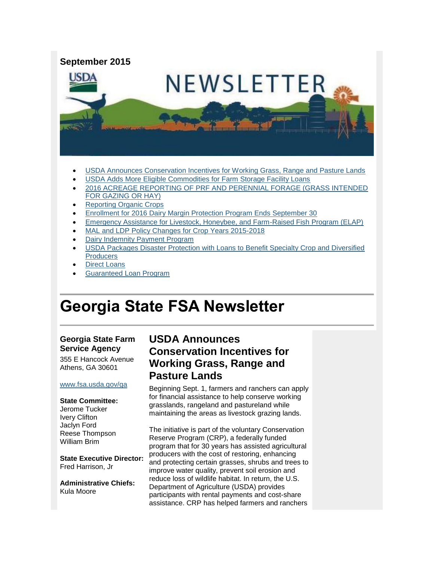

- [USDA Announces Conservation Incentives for Working Grass, Range and Pasture Lands](#page-0-0)
- [USDA Adds More Eligible Commodities for Farm Storage Facility Loans](#page-1-0)
- [2016 ACREAGE REPORTING OF PRF AND PERENNIAL FORAGE \(GRASS INTENDED](#page-2-0)  [FOR GAZING OR HAY\)](#page-2-0)
- [Reporting Organic Crops](#page-3-0)
- [Enrollment for 2016 Dairy Margin Protection Program Ends September 30](#page-3-1)
- [Emergency Assistance for Livestock, Honeybee, and Farm-Raised Fish Program \(ELAP\)](#page-4-0)
- [MAL and LDP Policy Changes for Crop Years 2015-2018](#page-4-1)
- [Dairy Indemnity Payment Program](#page-5-0)
- [USDA Packages Disaster Protection with Loans to Benefit Specialty Crop and Diversified](#page-5-1)  **Producers**
- [Direct Loans](#page-6-0)
- [Guaranteed Loan Program](#page-6-1)

# **Georgia State FSA Newsletter**

### **Georgia State Farm Service Agency**

355 E Hancock Avenue Athens, GA 30601

### [www.fsa.usda.gov/ga](http://www.fsa.usda.gov/ga)

#### **State Committee:**

Jerome Tucker Ivery Clifton Jaclyn Ford Reese Thompson William Brim

**State Executive Director:** Fred Harrison, Jr

**Administrative Chiefs:** Kula Moore

## <span id="page-0-0"></span>**USDA Announces Conservation Incentives for Working Grass, Range and Pasture Lands**

Beginning Sept. 1, farmers and ranchers can apply for financial assistance to help conserve working grasslands, rangeland and pastureland while maintaining the areas as livestock grazing lands.

The initiative is part of the voluntary Conservation Reserve Program (CRP), a federally funded program that for 30 years has assisted agricultural producers with the cost of restoring, enhancing and protecting certain grasses, shrubs and trees to improve water quality, prevent soil erosion and reduce loss of wildlife habitat. In return, the U.S. Department of Agriculture (USDA) provides participants with rental payments and cost-share assistance. CRP has helped farmers and ranchers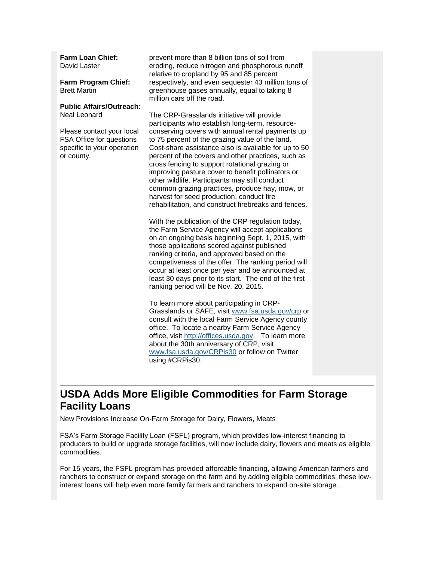**Farm Loan Chief:** David Laster

**Farm Program Chief:** Brett Martin

### **Public Affairs/Outreach:** Neal Leonard

Please contact your local FSA Office for questions specific to your operation or county.

prevent more than 8 billion tons of soil from eroding, reduce nitrogen and phosphorous runoff relative to cropland by 95 and 85 percent respectively, and even sequester 43 million tons of greenhouse gases annually, equal to taking 8 million cars off the road.

The CRP-Grasslands initiative will provide participants who establish long-term, resourceconserving covers with annual rental payments up to 75 percent of the grazing value of the land. Cost-share assistance also is available for up to 50 percent of the covers and other practices, such as cross fencing to support rotational grazing or improving pasture cover to benefit pollinators or other wildlife. Participants may still conduct common grazing practices, produce hay, mow, or harvest for seed production, conduct fire rehabilitation, and construct firebreaks and fences.

With the publication of the CRP regulation today, the Farm Service Agency will accept applications on an ongoing basis beginning Sept. 1, 2015, with those applications scored against published ranking criteria, and approved based on the competiveness of the offer. The ranking period will occur at least once per year and be announced at least 30 days prior to its start. The end of the first ranking period will be Nov. 20, 2015.

To learn more about participating in CRP-Grasslands or SAFE, visit [www.fsa.usda.gov/crp](http://www.fsa.usda.gov/crp) or consult with the local Farm Service Agency county office. To locate a nearby Farm Service Agency office, visit [http://offices.usda.gov.](http://offices.usda.gov/) To learn more about the 30th anniversary of CRP, visit [www.fsa.usda.gov/CRPis30](http://www.fsa.usda.gov/CRPis30) or follow on Twitter using #CRPis30.

## <span id="page-1-0"></span>**USDA Adds More Eligible Commodities for Farm Storage Facility Loans**

New Provisions Increase On-Farm Storage for Dairy, Flowers, Meats

FSA's Farm Storage Facility Loan (FSFL) program, which provides low-interest financing to producers to build or upgrade storage facilities, will now include dairy, flowers and meats as eligible commodities.

For 15 years, the FSFL program has provided affordable financing, allowing American farmers and ranchers to construct or expand storage on the farm and by adding eligible commodities; these lowinterest loans will help even more family farmers and ranchers to expand on-site storage.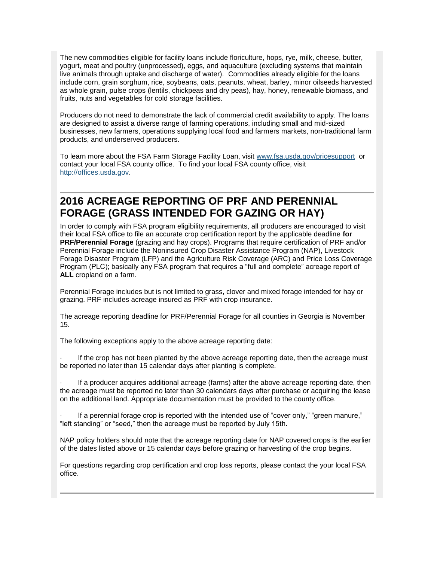The new commodities eligible for facility loans include floriculture, hops, rye, milk, cheese, butter, yogurt, meat and poultry (unprocessed), eggs, and aquaculture (excluding systems that maintain live animals through uptake and discharge of water). Commodities already eligible for the loans include corn, grain sorghum, rice, soybeans, oats, peanuts, wheat, barley, minor oilseeds harvested as whole grain, pulse crops (lentils, chickpeas and dry peas), hay, honey, renewable biomass, and fruits, nuts and vegetables for cold storage facilities.

Producers do not need to demonstrate the lack of commercial credit availability to apply. The loans are designed to assist a diverse range of farming operations, including small and mid-sized businesses, new farmers, operations supplying local food and farmers markets, non-traditional farm products, and underserved producers.

To learn more about the FSA Farm Storage Facility Loan, visit [www.fsa.usda.gov/pricesupport](http://www.fsa.usda.gov/pricesupport) or contact your local FSA county office. To find your local FSA county office, visit [http://offices.usda.gov.](http://offices.usda.gov/)

## <span id="page-2-0"></span>**2016 ACREAGE REPORTING OF PRF AND PERENNIAL FORAGE (GRASS INTENDED FOR GAZING OR HAY)**

In order to comply with FSA program eligibility requirements, all producers are encouraged to visit their local FSA office to file an accurate crop certification report by the applicable deadline **for PRF/Perennial Forage** (grazing and hay crops). Programs that require certification of PRF and/or Perennial Forage include the Noninsured Crop Disaster Assistance Program (NAP), Livestock Forage Disaster Program (LFP) and the Agriculture Risk Coverage (ARC) and Price Loss Coverage Program (PLC); basically any FSA program that requires a "full and complete" acreage report of **ALL** cropland on a farm.

Perennial Forage includes but is not limited to grass, clover and mixed forage intended for hay or grazing. PRF includes acreage insured as PRF with crop insurance.

The acreage reporting deadline for PRF/Perennial Forage for all counties in Georgia is November 15.

The following exceptions apply to the above acreage reporting date:

If the crop has not been planted by the above acreage reporting date, then the acreage must be reported no later than 15 calendar days after planting is complete.

If a producer acquires additional acreage (farms) after the above acreage reporting date, then the acreage must be reported no later than 30 calendars days after purchase or acquiring the lease on the additional land. Appropriate documentation must be provided to the county office.

If a perennial forage crop is reported with the intended use of "cover only," "green manure," "left standing" or "seed," then the acreage must be reported by July 15th.

NAP policy holders should note that the acreage reporting date for NAP covered crops is the earlier of the dates listed above or 15 calendar days before grazing or harvesting of the crop begins.

For questions regarding crop certification and crop loss reports, please contact the your local FSA office.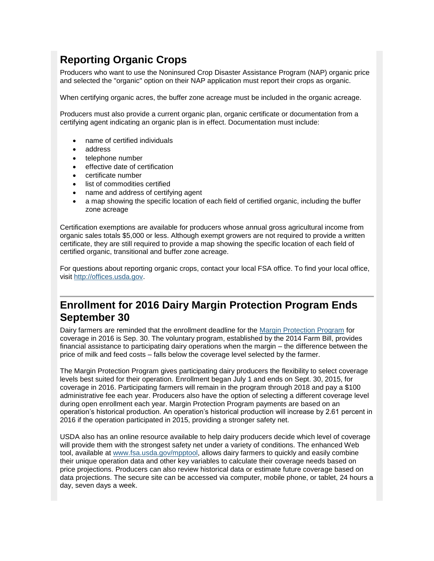## <span id="page-3-0"></span>**Reporting Organic Crops**

Producers who want to use the Noninsured Crop Disaster Assistance Program (NAP) organic price and selected the "organic" option on their NAP application must report their crops as organic.

When certifying organic acres, the buffer zone acreage must be included in the organic acreage.

Producers must also provide a current organic plan, organic certificate or documentation from a certifying agent indicating an organic plan is in effect. Documentation must include:

- name of certified individuals
- address
- telephone number
- effective date of certification
- certificate number
- list of commodities certified
- name and address of certifying agent
- a map showing the specific location of each field of certified organic, including the buffer zone acreage

Certification exemptions are available for producers whose annual gross agricultural income from organic sales totals \$5,000 or less. Although exempt growers are not required to provide a written certificate, they are still required to provide a map showing the specific location of each field of certified organic, transitional and buffer zone acreage.

For questions about reporting organic crops, contact your local FSA office. To find your local office, visit [http://offices.usda.gov.](http://offices.usda.gov/)

## <span id="page-3-1"></span>**Enrollment for 2016 Dairy Margin Protection Program Ends September 30**

Dairy farmers are reminded that the enrollment deadline for the [Margin Protection Program](http://www.fsa.usda.gov/FSA/webapp?area=home&subject=dmpp&topic=landing) for coverage in 2016 is Sep. 30. The voluntary program, established by the 2014 Farm Bill, provides financial assistance to participating dairy operations when the margin – the difference between the price of milk and feed costs – falls below the coverage level selected by the farmer.

The Margin Protection Program gives participating dairy producers the flexibility to select coverage levels best suited for their operation. Enrollment began July 1 and ends on Sept. 30, 2015, for coverage in 2016. Participating farmers will remain in the program through 2018 and pay a \$100 administrative fee each year. Producers also have the option of selecting a different coverage level during open enrollment each year. Margin Protection Program payments are based on an operation's historical production. An operation's historical production will increase by 2.61 percent in 2016 if the operation participated in 2015, providing a stronger safety net.

USDA also has an online resource available to help dairy producers decide which level of coverage will provide them with the strongest safety net under a variety of conditions. The enhanced Web tool, available at [www.fsa.usda.gov/mpptool,](http://www.fsa.usda.gov/mpptool) allows dairy farmers to quickly and easily combine their unique operation data and other key variables to calculate their coverage needs based on price projections. Producers can also review historical data or estimate future coverage based on data projections. The secure site can be accessed via computer, mobile phone, or tablet, 24 hours a day, seven days a week.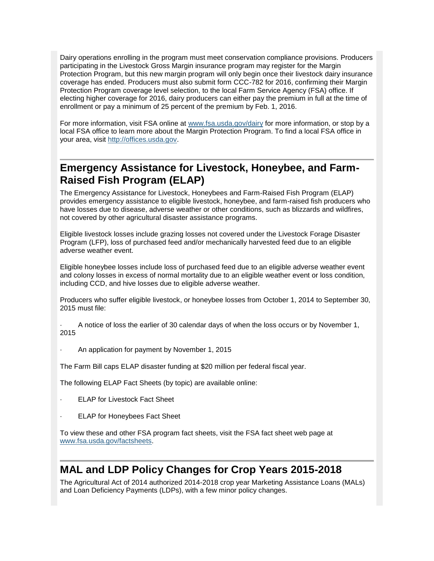Dairy operations enrolling in the program must meet conservation compliance provisions. Producers participating in the Livestock Gross Margin insurance program may register for the Margin Protection Program, but this new margin program will only begin once their livestock dairy insurance coverage has ended. Producers must also submit form CCC-782 for 2016, confirming their Margin Protection Program coverage level selection, to the local Farm Service Agency (FSA) office. If electing higher coverage for 2016, dairy producers can either pay the premium in full at the time of enrollment or pay a minimum of 25 percent of the premium by Feb. 1, 2016.

For more information, visit FSA online at [www.fsa.usda.gov/dairy](http://www.fsa.usda.gov/dairy) for more information, or stop by a local FSA office to learn more about the Margin Protection Program. To find a local FSA office in your area, visit [http://offices.usda.gov.](http://offices.usda.gov/)

## <span id="page-4-0"></span>**Emergency Assistance for Livestock, Honeybee, and Farm-Raised Fish Program (ELAP)**

The Emergency Assistance for Livestock, Honeybees and Farm-Raised Fish Program (ELAP) provides emergency assistance to eligible livestock, honeybee, and farm-raised fish producers who have losses due to disease, adverse weather or other conditions, such as blizzards and wildfires, not covered by other agricultural disaster assistance programs.

Eligible livestock losses include grazing losses not covered under the Livestock Forage Disaster Program (LFP), loss of purchased feed and/or mechanically harvested feed due to an eligible adverse weather event.

Eligible honeybee losses include loss of purchased feed due to an eligible adverse weather event and colony losses in excess of normal mortality due to an eligible weather event or loss condition, including CCD, and hive losses due to eligible adverse weather.

Producers who suffer eligible livestock, or honeybee losses from October 1, 2014 to September 30, 2015 must file:

· A notice of loss the earlier of 30 calendar days of when the loss occurs or by November 1, 2015

· An application for payment by November 1, 2015

The Farm Bill caps ELAP disaster funding at \$20 million per federal fiscal year.

The following ELAP Fact Sheets (by topic) are available online:

- **ELAP for Livestock Fact Sheet**
- **ELAP for Honeybees Fact Sheet**

To view these and other FSA program fact sheets, visit the FSA fact sheet web page at [www.fsa.usda.gov/factsheets.](http://www.fsa.usda.gov/factsheets)

## <span id="page-4-1"></span>**MAL and LDP Policy Changes for Crop Years 2015-2018**

The Agricultural Act of 2014 authorized 2014-2018 crop year Marketing Assistance Loans (MALs) and Loan Deficiency Payments (LDPs), with a few minor policy changes.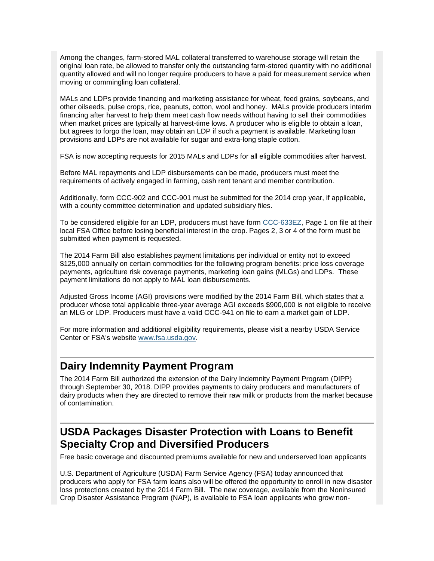Among the changes, farm-stored MAL collateral transferred to warehouse storage will retain the original loan rate, be allowed to transfer only the outstanding farm-stored quantity with no additional quantity allowed and will no longer require producers to have a paid for measurement service when moving or commingling loan collateral.

MALs and LDPs provide financing and marketing assistance for wheat, feed grains, soybeans, and other oilseeds, pulse crops, rice, peanuts, cotton, wool and honey. MALs provide producers interim financing after harvest to help them meet cash flow needs without having to sell their commodities when market prices are typically at harvest-time lows. A producer who is eligible to obtain a loan, but agrees to forgo the loan, may obtain an LDP if such a payment is available. Marketing loan provisions and LDPs are not available for sugar and extra-long staple cotton.

FSA is now accepting requests for 2015 MALs and LDPs for all eligible commodities after harvest.

Before MAL repayments and LDP disbursements can be made, producers must meet the requirements of actively engaged in farming, cash rent tenant and member contribution.

Additionally, form CCC-902 and CCC-901 must be submitted for the 2014 crop year, if applicable, with a county committee determination and updated subsidiary files.

To be considered eligible for an LDP, producers must have form [CCC-633EZ,](http://forms.sc.egov.usda.gov/efcommon/eFileServices/eFormsAdmin/CCC0633EZ_140328V03.pdf) Page 1 on file at their local FSA Office before losing beneficial interest in the crop. Pages 2, 3 or 4 of the form must be submitted when payment is requested.

The 2014 Farm Bill also establishes payment limitations per individual or entity not to exceed \$125,000 annually on certain commodities for the following program benefits: price loss coverage payments, agriculture risk coverage payments, marketing loan gains (MLGs) and LDPs. These payment limitations do not apply to MAL loan disbursements.

Adjusted Gross Income (AGI) provisions were modified by the 2014 Farm Bill, which states that a producer whose total applicable three-year average AGI exceeds \$900,000 is not eligible to receive an MLG or LDP. Producers must have a valid CCC-941 on file to earn a market gain of LDP.

For more information and additional eligibility requirements, please visit a nearby USDA Service Center or FSA's website [www.fsa.usda.gov.](http://www.fsa.usda.gov/)

### <span id="page-5-0"></span>**Dairy Indemnity Payment Program**

The 2014 Farm Bill authorized the extension of the Dairy Indemnity Payment Program (DIPP) through September 30, 2018. DIPP provides payments to dairy producers and manufacturers of dairy products when they are directed to remove their raw milk or products from the market because of contamination.

## <span id="page-5-1"></span>**USDA Packages Disaster Protection with Loans to Benefit Specialty Crop and Diversified Producers**

Free basic coverage and discounted premiums available for new and underserved loan applicants

U.S. Department of Agriculture (USDA) Farm Service Agency (FSA) today announced that producers who apply for FSA farm loans also will be offered the opportunity to enroll in new disaster loss protections created by the 2014 Farm Bill. The new coverage, available from the Noninsured Crop Disaster Assistance Program (NAP), is available to FSA loan applicants who grow non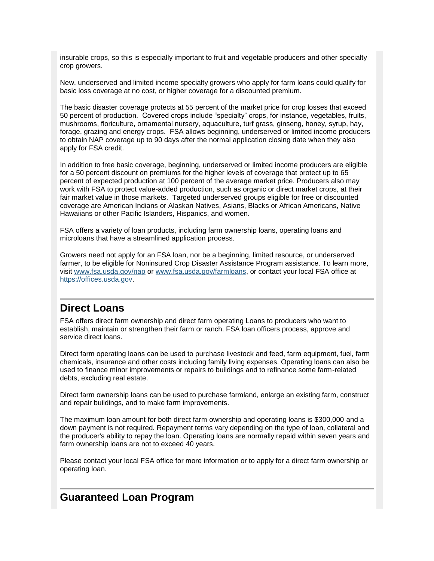insurable crops, so this is especially important to fruit and vegetable producers and other specialty crop growers.

New, underserved and limited income specialty growers who apply for farm loans could qualify for basic loss coverage at no cost, or higher coverage for a discounted premium.

The basic disaster coverage protects at 55 percent of the market price for crop losses that exceed 50 percent of production. Covered crops include "specialty" crops, for instance, vegetables, fruits, mushrooms, floriculture, ornamental nursery, aquaculture, turf grass, ginseng, honey, syrup, hay, forage, grazing and energy crops. FSA allows beginning, underserved or limited income producers to obtain NAP coverage up to 90 days after the normal application closing date when they also apply for FSA credit.

In addition to free basic coverage, beginning, underserved or limited income producers are eligible for a 50 percent discount on premiums for the higher levels of coverage that protect up to 65 percent of expected production at 100 percent of the average market price. Producers also may work with FSA to protect value-added production, such as organic or direct market crops, at their fair market value in those markets. Targeted underserved groups eligible for free or discounted coverage are American Indians or Alaskan Natives, Asians, Blacks or African Americans, Native Hawaiians or other Pacific Islanders, Hispanics, and women.

FSA offers a variety of loan products, including farm ownership loans, operating loans and microloans that have a streamlined application process.

Growers need not apply for an FSA loan, nor be a beginning, limited resource, or underserved farmer, to be eligible for Noninsured Crop Disaster Assistance Program assistance. To learn more, visit [www.fsa.usda.gov/nap](http://www.fsa.usda.gov/nap) or [www.fsa.usda.gov/farmloans,](http://www.fsa.usda.gov/programs-and-services/farm-loan-programs/index) or contact your local FSA office at [https://offices.usda.gov.](http://links.govdelivery.com/track?type=click&enid=ZWFzPTEmbWFpbGluZ2lkPTIwMTUwNTEzLjQ0OTUwNTUxJm1lc3NhZ2VpZD1NREItUFJELUJVTC0yMDE1MDUxMy40NDk1MDU1MSZkYXRhYmFzZWlkPTEwMDEmc2VyaWFsPTE3MTI2NTkzJmVtYWlsaWQ9aXNhYmVsLmJlbmVtZWxpc0B3ZGMudXNkYS5nb3YmdXNlcmlkPWlzYWJlbC5iZW5lbWVsaXNAd2RjLnVzZGEuZ292JmZsPSZleHRyYT1NdWx0aXZhcmlhdGVJZD0mJiY=&&&101&&&http://offices.usda.gov)

## <span id="page-6-0"></span>**Direct Loans**

FSA offers direct farm ownership and direct farm operating Loans to producers who want to establish, maintain or strengthen their farm or ranch. FSA loan officers process, approve and service direct loans.

Direct farm operating loans can be used to purchase livestock and feed, farm equipment, fuel, farm chemicals, insurance and other costs including family living expenses. Operating loans can also be used to finance minor improvements or repairs to buildings and to refinance some farm-related debts, excluding real estate.

Direct farm ownership loans can be used to purchase farmland, enlarge an existing farm, construct and repair buildings, and to make farm improvements.

The maximum loan amount for both direct farm ownership and operating loans is \$300,000 and a down payment is not required. Repayment terms vary depending on the type of loan, collateral and the producer's ability to repay the loan. Operating loans are normally repaid within seven years and farm ownership loans are not to exceed 40 years.

Please contact your local FSA office for more information or to apply for a direct farm ownership or operating loan.

## <span id="page-6-1"></span>**Guaranteed Loan Program**